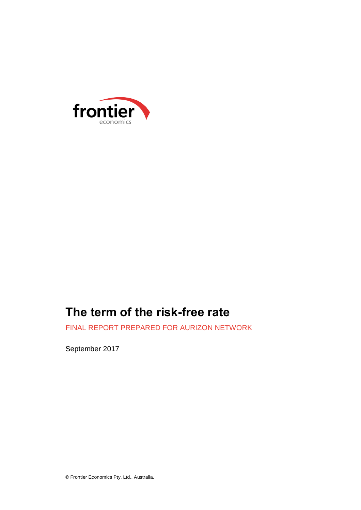

# **The term of the risk-free rate**

FINAL REPORT PREPARED FOR AURIZON NETWORK

September 2017

© Frontier Economics Pty. Ltd., Australia.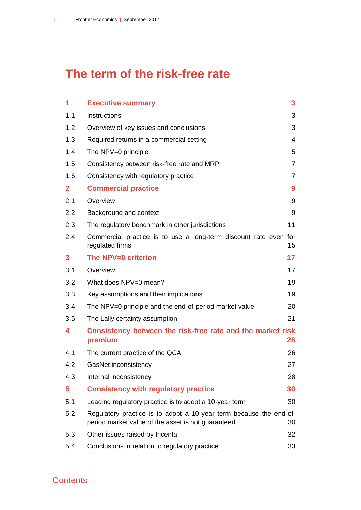# **The term of the risk-free rate**

| 1            | <b>Executive summary</b>                                                                                                 | 3              |
|--------------|--------------------------------------------------------------------------------------------------------------------------|----------------|
| 1.1          | Instructions                                                                                                             | 3              |
| 1.2          | Overview of key issues and conclusions                                                                                   | 3              |
| 1.3          | Required returns in a commercial setting                                                                                 | 4              |
| 1.4          | The NPV=0 principle                                                                                                      | 5              |
| 1.5          | Consistency between risk-free rate and MRP                                                                               | $\overline{7}$ |
| 1.6          | Consistency with regulatory practice                                                                                     | 7              |
| $\mathbf{2}$ | <b>Commercial practice</b>                                                                                               | 9              |
| 2.1          | Overview                                                                                                                 | 9              |
| 2.2          | Background and context                                                                                                   | 9              |
| 2.3          | The regulatory benchmark in other jurisdictions                                                                          | 11             |
| 2.4          | Commercial practice is to use a long-term discount rate even for<br>regulated firms                                      | 15             |
| 3            | The NPV=0 criterion                                                                                                      | 17             |
| 3.1          | Overview                                                                                                                 | 17             |
| 3.2          | What does NPV=0 mean?                                                                                                    | 19             |
| 3.3          | Key assumptions and their implications                                                                                   | 19             |
| 3.4          | The NPV=0 principle and the end-of-period market value                                                                   | 20             |
| 3.5          | The Lally certainty assumption                                                                                           | 21             |
| 4            | Consistency between the risk-free rate and the market risk<br>premium                                                    | 26             |
| 4.1          | The current practice of the QCA                                                                                          | 26             |
| 4.2          | GasNet inconsistency                                                                                                     | 27             |
| 4.3          | Internal inconsistency                                                                                                   | 28             |
| 5            | <b>Consistency with regulatory practice</b>                                                                              | 30             |
| 5.1          | Leading regulatory practice is to adopt a 10-year term                                                                   | 30             |
| 5.2          | Regulatory practice is to adopt a 10-year term because the end-of-<br>period market value of the asset is not guaranteed | 30             |
| 5.3          | Other issues raised by Incenta                                                                                           | 32             |
| 5.4          | Conclusions in relation to regulatory practice                                                                           | 33             |

**Contents**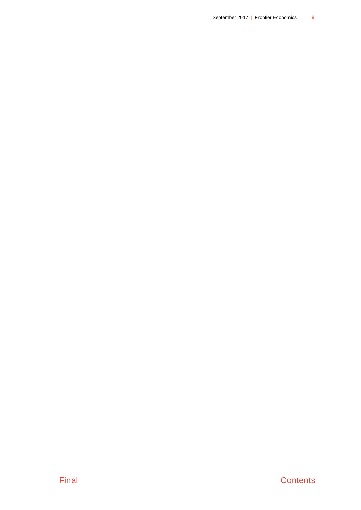**Final** Contents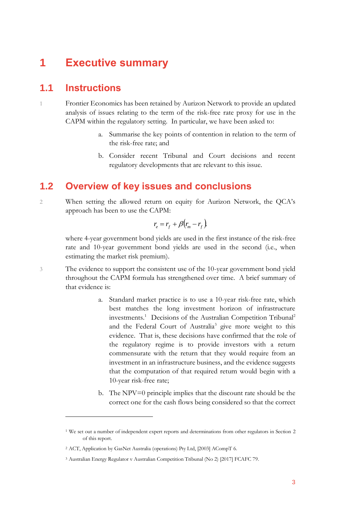## <span id="page-3-0"></span>**1 Executive summary**

#### <span id="page-3-1"></span>**1.1 Instructions**

 $\overline{a}$ 

1 Frontier Economics has been retained by Aurizon Network to provide an updated analysis of issues relating to the term of the risk-free rate proxy for use in the CAPM within the regulatory setting. In particular, we have been asked to:

- a. Summarise the key points of contention in relation to the term of the risk-free rate; and
- b. Consider recent Tribunal and Court decisions and recent regulatory developments that are relevant to this issue.

#### <span id="page-3-2"></span>**1.2 Overview of key issues and conclusions**

2 When setting the allowed return on equity for Aurizon Network, the QCA's approach has been to use the CAPM:

$$
r_e = r_f + \beta (r_m - r_f).
$$

where 4-year government bond yields are used in the first instance of the risk-free rate and 10-year government bond yields are used in the second (i.e., when estimating the market risk premium).

- 3 The evidence to support the consistent use of the 10-year government bond yield throughout the CAPM formula has strengthened over time. A brief summary of that evidence is:
	- a. Standard market practice is to use a 10-year risk-free rate, which best matches the long investment horizon of infrastructure investments.<sup>1</sup> Decisions of the Australian Competition Tribunal<sup>2</sup> and the Federal Court of Australia<sup>3</sup> give more weight to this evidence. That is, these decisions have confirmed that the role of the regulatory regime is to provide investors with a return commensurate with the return that they would require from an investment in an infrastructure business, and the evidence suggests that the computation of that required return would begin with a 10-year risk-free rate;
	- b. The NPV=0 principle implies that the discount rate should be the correct one for the cash flows being considered so that the correct

<sup>1</sup> We set out a number of independent expert reports and determinations from other regulators in Section 2 of this report.

<sup>2</sup> ACT, Application by GasNet Australia (operations) Pty Ltd, [2003] ACompT 6.

<sup>3</sup> Australian Energy Regulator v Australian Competition Tribunal (No 2) [2017] FCAFC 79.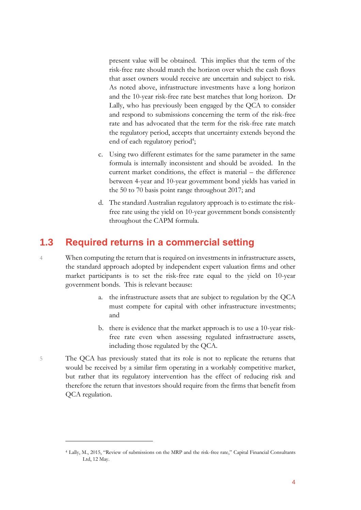present value will be obtained. This implies that the term of the risk-free rate should match the horizon over which the cash flows that asset owners would receive are uncertain and subject to risk. As noted above, infrastructure investments have a long horizon and the 10-year risk-free rate best matches that long horizon. Dr Lally, who has previously been engaged by the QCA to consider and respond to submissions concerning the term of the risk-free rate and has advocated that the term for the risk-free rate match the regulatory period, accepts that uncertainty extends beyond the end of each regulatory period<sup>4</sup>;

- c. Using two different estimates for the same parameter in the same formula is internally inconsistent and should be avoided. In the current market conditions, the effect is material – the difference between 4-year and 10-year government bond yields has varied in the 50 to 70 basis point range throughout 2017; and
- d. The standard Australian regulatory approach is to estimate the riskfree rate using the yield on 10-year government bonds consistently throughout the CAPM formula.

#### <span id="page-4-0"></span>**1.3 Required returns in a commercial setting**

4 When computing the return that is required on investments in infrastructure assets, the standard approach adopted by independent expert valuation firms and other market participants is to set the risk-free rate equal to the yield on 10-year government bonds. This is relevant because:

- a. the infrastructure assets that are subject to regulation by the QCA must compete for capital with other infrastructure investments; and
- b. there is evidence that the market approach is to use a 10-year riskfree rate even when assessing regulated infrastructure assets, including those regulated by the QCA.
- 5 The QCA has previously stated that its role is not to replicate the returns that would be received by a similar firm operating in a workably competitive market, but rather that its regulatory intervention has the effect of reducing risk and therefore the return that investors should require from the firms that benefit from QCA regulation.

l

<sup>4</sup> Lally, M., 2015, "Review of submissions on the MRP and the risk-free rate," Capital Financial Consultants Ltd, 12 May.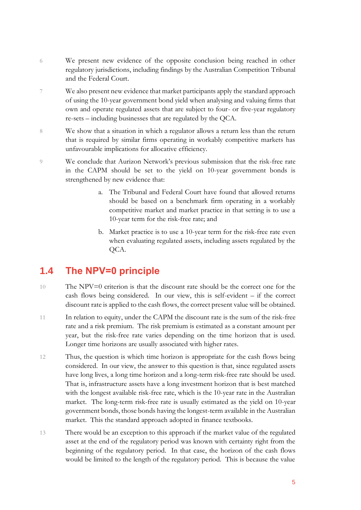- 6 We present new evidence of the opposite conclusion being reached in other regulatory jurisdictions, including findings by the Australian Competition Tribunal and the Federal Court.
- 7 We also present new evidence that market participants apply the standard approach of using the 10-year government bond yield when analysing and valuing firms that own and operate regulated assets that are subject to four- or five-year regulatory re-sets – including businesses that are regulated by the QCA.
- 8 We show that a situation in which a regulator allows a return less than the return that is required by similar firms operating in workably competitive markets has unfavourable implications for allocative efficiency.
- 9 We conclude that Aurizon Network's previous submission that the risk-free rate in the CAPM should be set to the yield on 10-year government bonds is strengthened by new evidence that:
	- a. The Tribunal and Federal Court have found that allowed returns should be based on a benchmark firm operating in a workably competitive market and market practice in that setting is to use a 10-year term for the risk-free rate; and
	- b. Market practice is to use a 10-year term for the risk-free rate even when evaluating regulated assets, including assets regulated by the QCA.

### <span id="page-5-0"></span>**1.4 The NPV=0 principle**

- 10 The NPV=0 criterion is that the discount rate should be the correct one for the cash flows being considered. In our view, this is self-evident – if the correct discount rate is applied to the cash flows, the correct present value will be obtained.
- 11 In relation to equity, under the CAPM the discount rate is the sum of the risk-free rate and a risk premium. The risk premium is estimated as a constant amount per year, but the risk-free rate varies depending on the time horizon that is used. Longer time horizons are usually associated with higher rates.
- 12 Thus, the question is which time horizon is appropriate for the cash flows being considered. In our view, the answer to this question is that, since regulated assets have long lives, a long time horizon and a long-term risk-free rate should be used. That is, infrastructure assets have a long investment horizon that is best matched with the longest available risk-free rate, which is the 10-year rate in the Australian market. The long-term risk-free rate is usually estimated as the yield on 10-year government bonds, those bonds having the longest-term available in the Australian market. This the standard approach adopted in finance textbooks.
- 13 There would be an exception to this approach if the market value of the regulated asset at the end of the regulatory period was known with certainty right from the beginning of the regulatory period. In that case, the horizon of the cash flows would be limited to the length of the regulatory period. This is because the value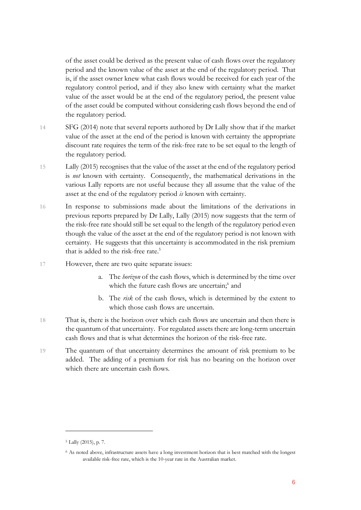of the asset could be derived as the present value of cash flows over the regulatory period and the known value of the asset at the end of the regulatory period. That is, if the asset owner knew what cash flows would be received for each year of the regulatory control period, and if they also knew with certainty what the market value of the asset would be at the end of the regulatory period, the present value of the asset could be computed without considering cash flows beyond the end of the regulatory period.

- 14 SFG (2014) note that several reports authored by Dr Lally show that if the market value of the asset at the end of the period is known with certainty the appropriate discount rate requires the term of the risk-free rate to be set equal to the length of the regulatory period.
- 15 Lally (2015) recognises that the value of the asset at the end of the regulatory period is *not* known with certainty. Consequently, the mathematical derivations in the various Lally reports are not useful because they all assume that the value of the asset at the end of the regulatory period *is* known with certainty.
- 16 In response to submissions made about the limitations of the derivations in previous reports prepared by Dr Lally, Lally (2015) now suggests that the term of the risk-free rate should still be set equal to the length of the regulatory period even though the value of the asset at the end of the regulatory period is not known with certainty. He suggests that this uncertainty is accommodated in the risk premium that is added to the risk-free rate.<sup>5</sup>
- 17 However, there are two quite separate issues:
	- a. The *horizon* of the cash flows, which is determined by the time over which the future cash flows are uncertain;<sup>6</sup> and
	- b. The *risk* of the cash flows, which is determined by the extent to which those cash flows are uncertain.
- 18 That is, there is the horizon over which cash flows are uncertain and then there is the quantum of that uncertainty. For regulated assets there are long-term uncertain cash flows and that is what determines the horizon of the risk-free rate.
- 19 The quantum of that uncertainty determines the amount of risk premium to be added. The adding of a premium for risk has no bearing on the horizon over which there are uncertain cash flows.

<sup>5</sup> Lally (2015), p. 7.

<sup>6</sup> As noted above, infrastructure assets have a long investment horizon that is best matched with the longest available risk-free rate, which is the 10-year rate in the Australian market.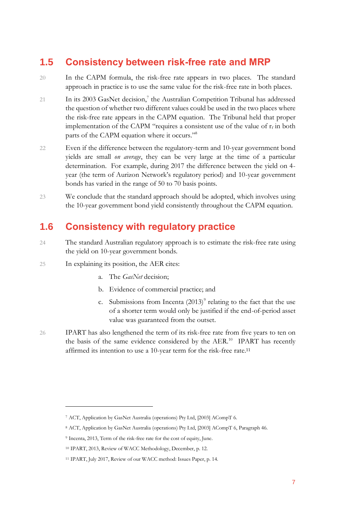### <span id="page-7-0"></span>**1.5 Consistency between risk-free rate and MRP**

- 20 In the CAPM formula, the risk-free rate appears in two places. The standard approach in practice is to use the same value for the risk-free rate in both places.
- 21 In its 2003 GasNet decision,<sup>7</sup> the Australian Competition Tribunal has addressed the question of whether two different values could be used in the two places where the risk-free rate appears in the CAPM equation. The Tribunal held that proper implementation of the CAPM "requires a consistent use of the value of  $r_f$  in both parts of the CAPM equation where it occurs."<sup>8</sup>
- 22 Even if the difference between the regulatory-term and 10-year government bond yields are small *on average*, they can be very large at the time of a particular determination. For example, during 2017 the difference between the yield on 4 year (the term of Aurizon Network's regulatory period) and 10-year government bonds has varied in the range of 50 to 70 basis points.
- 23 We conclude that the standard approach should be adopted, which involves using the 10-year government bond yield consistently throughout the CAPM equation.

### <span id="page-7-1"></span>**1.6 Consistency with regulatory practice**

- 24 The standard Australian regulatory approach is to estimate the risk-free rate using the yield on 10-year government bonds.
- 25 In explaining its position, the AER cites:

- a. The *GasNet* decision;
- b. Evidence of commercial practice; and
- c. Submissions from Incenta  $(2013)^9$  relating to the fact that the use of a shorter term would only be justified if the end-of-period asset value was guaranteed from the outset.
- 26 IPART has also lengthened the term of its risk-free rate from five years to ten on the basis of the same evidence considered by the AER.<sup>10</sup> IPART has recently affirmed its intention to use a 10-year term for the risk-free rate.<sup>11</sup>

<sup>7</sup> ACT, Application by GasNet Australia (operations) Pty Ltd, [2003] ACompT 6.

<sup>8</sup> ACT, Application by GasNet Australia (operations) Pty Ltd, [2003] ACompT 6, Paragraph 46.

<sup>9</sup> Incenta, 2013, Term of the risk-free rate for the cost of equity, June.

<sup>10</sup> IPART, 2013, Review of WACC Methodology, December, p. 12.

<sup>11</sup> IPART, July 2017, Review of our WACC method: Issues Paper, p. 14.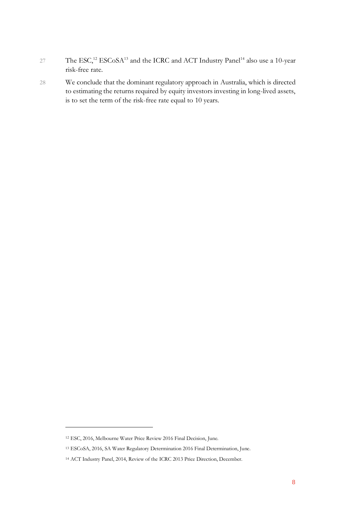- 27 The ESC,<sup>12</sup> ESCoSA<sup>13</sup> and the ICRC and ACT Industry Panel<sup>14</sup> also use a 10-year risk-free rate.
- 28 We conclude that the dominant regulatory approach in Australia, which is directed to estimating the returns required by equity investors investing in long-lived assets, is to set the term of the risk-free rate equal to 10 years.

<sup>12</sup> ESC, 2016, Melbourne Water Price Review 2016 Final Decision, June.

<sup>13</sup> ESCoSA, 2016, SA Water Regulatory Determination 2016 Final Determination, June.

<sup>14</sup> ACT Industry Panel, 2014, Review of the ICRC 2013 Price Direction, December.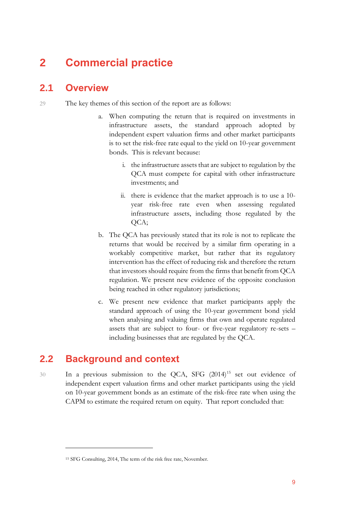## <span id="page-9-0"></span>**2 Commercial practice**

#### <span id="page-9-1"></span>**2.1 Overview**

- 29 The key themes of this section of the report are as follows:
	- a. When computing the return that is required on investments in infrastructure assets, the standard approach adopted by independent expert valuation firms and other market participants is to set the risk-free rate equal to the yield on 10-year government bonds. This is relevant because:
		- i. the infrastructure assets that are subject to regulation by the QCA must compete for capital with other infrastructure investments; and
		- ii. there is evidence that the market approach is to use a 10 year risk-free rate even when assessing regulated infrastructure assets, including those regulated by the QCA;
	- b. The QCA has previously stated that its role is not to replicate the returns that would be received by a similar firm operating in a workably competitive market, but rather that its regulatory intervention has the effect of reducing risk and therefore the return that investors should require from the firms that benefit from QCA regulation. We present new evidence of the opposite conclusion being reached in other regulatory jurisdictions;
	- c. We present new evidence that market participants apply the standard approach of using the 10-year government bond yield when analysing and valuing firms that own and operate regulated assets that are subject to four- or five-year regulatory re-sets – including businesses that are regulated by the QCA.

### <span id="page-9-2"></span>**2.2 Background and context**

 $\overline{a}$ 

30 In a previous submission to the QCA, SFG (2014)<sup>15</sup> set out evidence of independent expert valuation firms and other market participants using the yield on 10-year government bonds as an estimate of the risk-free rate when using the CAPM to estimate the required return on equity. That report concluded that:

<sup>15</sup> SFG Consulting, 2014, The term of the risk free rate, November.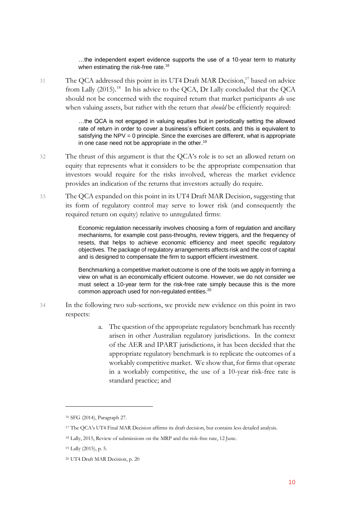…the independent expert evidence supports the use of a 10-year term to maturity when estimating the risk-free rate. 16

31 The QCA addressed this point in its UT4 Draft MAR Decision,<sup>17</sup> based on advice from Lally (2015).<sup>18</sup> In his advice to the QCA, Dr Lally concluded that the QCA should not be concerned with the required return that market participants *do* use when valuing assets, but rather with the return that *should* be efficiently required:

> …the QCA is not engaged in valuing equities but in periodically setting the allowed rate of return in order to cover a business's efficient costs, and this is equivalent to satisfying the NPV = 0 principle. Since the exercises are different, what is appropriate in one case need not be appropriate in the other. 19

- 32 The thrust of this argument is that the QCA's role is to set an allowed return on equity that represents what it considers to be the appropriate compensation that investors would require for the risks involved, whereas the market evidence provides an indication of the returns that investors actually do require.
- 33 The QCA expanded on this point in its UT4 Draft MAR Decision, suggesting that its form of regulatory control may serve to lower risk (and consequently the required return on equity) relative to unregulated firms:

Economic regulation necessarily involves choosing a form of regulation and ancillary mechanisms, for example cost pass-throughs, review triggers, and the frequency of resets, that helps to achieve economic efficiency and meet specific regulatory objectives. The package of regulatory arrangements affects risk and the cost of capital and is designed to compensate the firm to support efficient investment.

Benchmarking a competitive market outcome is one of the tools we apply in forming a view on what is an economically efficient outcome. However, we do not consider we must select a 10-year term for the risk-free rate simply because this is the more common approach used for non-regulated entities.<sup>20</sup>

- 34 In the following two sub-sections, we provide new evidence on this point in two respects:
	- a. The question of the appropriate regulatory benchmark has recently arisen in other Australian regulatory jurisdictions. In the context of the AER and IPART jurisdictions, it has been decided that the appropriate regulatory benchmark is to replicate the outcomes of a workably competitive market. We show that, for firms that operate in a workably competitive, the use of a 10-year risk-free rate is standard practice; and

<sup>16</sup> SFG (2014), Paragraph 27.

<sup>17</sup> The QCA's UT4 Final MAR Decision affirms its draft decision, but contains less detailed analysis.

<sup>18</sup> Lally, 2015, Review of submissions on the MRP and the risk-free rate, 12 June.

<sup>19</sup> Lally (2015), p. 5.

<sup>20</sup> UT4 Draft MAR Decision, p. 20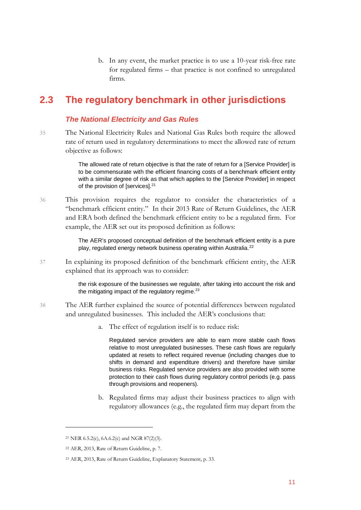b. In any event, the market practice is to use a 10-year risk-free rate for regulated firms – that practice is not confined to unregulated firms.

### <span id="page-11-0"></span>**2.3 The regulatory benchmark in other jurisdictions**

#### *The National Electricity and Gas Rules*

35 The National Electricity Rules and National Gas Rules both require the allowed rate of return used in regulatory determinations to meet the allowed rate of return objective as follows:

> The allowed rate of return objective is that the rate of return for a [Service Provider] is to be commensurate with the efficient financing costs of a benchmark efficient entity with a similar degree of risk as that which applies to the [Service Provider] in respect of the provision of [services].<sup>21</sup>

36 This provision requires the regulator to consider the characteristics of a "benchmark efficient entity." In their 2013 Rate of Return Guidelines, the AER and ERA both defined the benchmark efficient entity to be a regulated firm. For example, the AER set out its proposed definition as follows:

> The AER's proposed conceptual definition of the benchmark efficient entity is a pure play, regulated energy network business operating within Australia.<sup>22</sup>

37 In explaining its proposed definition of the benchmark efficient entity, the AER explained that its approach was to consider:

> the risk exposure of the businesses we regulate, after taking into account the risk and the mitigating impact of the regulatory regime.<sup>23</sup>

- 38 The AER further explained the source of potential differences between regulated and unregulated businesses. This included the AER's conclusions that:
	- a. The effect of regulation itself is to reduce risk:

Regulated service providers are able to earn more stable cash flows relative to most unregulated businesses. These cash flows are regularly updated at resets to reflect required revenue (including changes due to shifts in demand and expenditure drivers) and therefore have similar business risks. Regulated service providers are also provided with some protection to their cash flows during regulatory control periods (e.g. pass through provisions and reopeners).

b. Regulated firms may adjust their business practices to align with regulatory allowances (e.g., the regulated firm may depart from the

<sup>21</sup> NER 6.5.2(c), 6A.6.2(c) and NGR 87(2)(3).

<sup>22</sup> AER, 2013, Rate of Return Guideline, p. 7.

<sup>23</sup> AER, 2013, Rate of Return Guideline, Explanatory Statement, p. 33.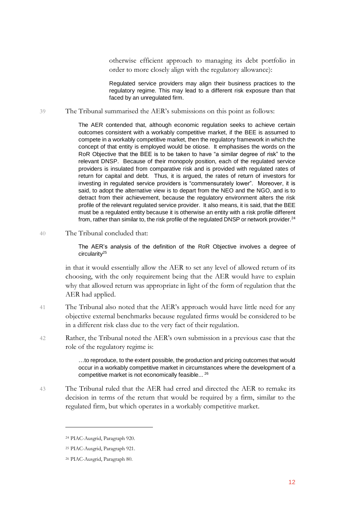otherwise efficient approach to managing its debt portfolio in order to more closely align with the regulatory allowance):

Regulated service providers may align their business practices to the regulatory regime. This may lead to a different risk exposure than that faced by an unregulated firm.

39 The Tribunal summarised the AER's submissions on this point as follows:

The AER contended that, although economic regulation seeks to achieve certain outcomes consistent with a workably competitive market, if the BEE is assumed to compete in a workably competitive market, then the regulatory framework in which the concept of that entity is employed would be otiose. It emphasises the words on the RoR Objective that the BEE is to be taken to have "a similar degree of risk" to the relevant DNSP. Because of their monopoly position, each of the regulated service providers is insulated from comparative risk and is provided with regulated rates of return for capital and debt. Thus, it is argued, the rates of return of investors for investing in regulated service providers is "commensurately lower". Moreover, it is said, to adopt the alternative view is to depart from the NEO and the NGO, and is to detract from their achievement, because the regulatory environment alters the risk profile of the relevant regulated service provider. It also means, it is said, that the BEE must be a regulated entity because it is otherwise an entity with a risk profile different from, rather than similar to, the risk profile of the regulated DNSP or network provider.<sup>24</sup>

40 The Tribunal concluded that:

The AER's analysis of the definition of the RoR Objective involves a degree of circularity<sup>25</sup>

in that it would essentially allow the AER to set any level of allowed return of its choosing, with the only requirement being that the AER would have to explain why that allowed return was appropriate in light of the form of regulation that the AER had applied.

- 41 The Tribunal also noted that the AER's approach would have little need for any objective external benchmarks because regulated firms would be considered to be in a different risk class due to the very fact of their regulation.
- 42 Rather, the Tribunal noted the AER's own submission in a previous case that the role of the regulatory regime is:

…to reproduce, to the extent possible, the production and pricing outcomes that would occur in a workably competitive market in circumstances where the development of a competitive market is not economically feasible... <sup>26</sup>

43 The Tribunal ruled that the AER had erred and directed the AER to remake its decision in terms of the return that would be required by a firm, similar to the regulated firm, but which operates in a workably competitive market.

<sup>24</sup> PIAC-Ausgrid, Paragraph 920.

<sup>25</sup> PIAC-Ausgrid, Paragraph 921.

<sup>26</sup> PIAC-Ausgrid, Paragraph 80.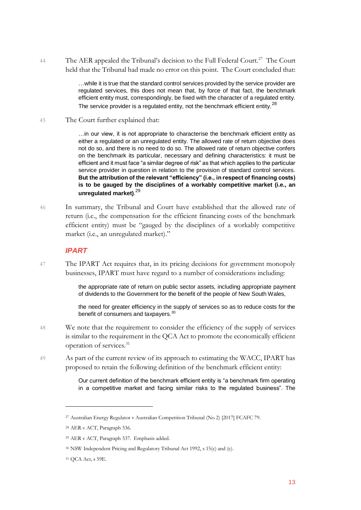<sup>44</sup> The AER appealed the Tribunal's decision to the Full Federal Court.<sup>27</sup> The Court held that the Tribunal had made no error on this point. The Court concluded that:

> …while it is true that the standard control services provided by the service provider are regulated services, this does not mean that, by force of that fact, the benchmark efficient entity must, correspondingly, be fixed with the character of a regulated entity. The service provider is a regulated entity, not the benchmark efficient entity.<sup>28</sup>

45 The Court further explained that:

…in our view, it is not appropriate to characterise the benchmark efficient entity as either a regulated or an unregulated entity. The allowed rate of return objective does not do so, and there is no need to do so. The allowed rate of return objective confers on the benchmark its particular, necessary and defining characteristics: it must be efficient and it must face "a similar degree of risk" as that which applies to the particular service provider in question in relation to the provision of standard control services. **But the attribution of the relevant "efficiency" (i.e., in respect of financing costs) is to be gauged by the disciplines of a workably competitive market (i.e., an unregulated market)**. 29

46 In summary, the Tribunal and Court have established that the allowed rate of return (i.e., the compensation for the efficient financing costs of the benchmark efficient entity) must be "gauged by the disciplines of a workably competitive market (i.e., an unregulated market)."

#### *IPART*

47 The IPART Act requires that, in its pricing decisions for government monopoly businesses, IPART must have regard to a number of considerations including:

> the appropriate rate of return on public sector assets, including appropriate payment of dividends to the Government for the benefit of the people of New South Wales,

> the need for greater efficiency in the supply of services so as to reduce costs for the benefit of consumers and taxpayers.<sup>30</sup>

- 48 We note that the requirement to consider the efficiency of the supply of services is similar to the requirement in the QCA Act to promote the economically efficient operation of services.<sup>31</sup>
- 49 As part of the current review of its approach to estimating the WACC, IPART has proposed to retain the following definition of the benchmark efficient entity:

Our current definition of the benchmark efficient entity is "a benchmark firm operating in a competitive market and facing similar risks to the regulated business". The

<sup>27</sup> Australian Energy Regulator v Australian Competition Tribunal (No 2) [2017] FCAFC 79.

<sup>28</sup> AER v ACT, Paragraph 536.

<sup>29</sup> AER v ACT, Paragraph 537. Emphasis added.

<sup>30</sup> NSW Independent Pricing and Regulatory Tribunal Act 1992, s 15(c) and (e).

<sup>31</sup> QCA Act, s 59E.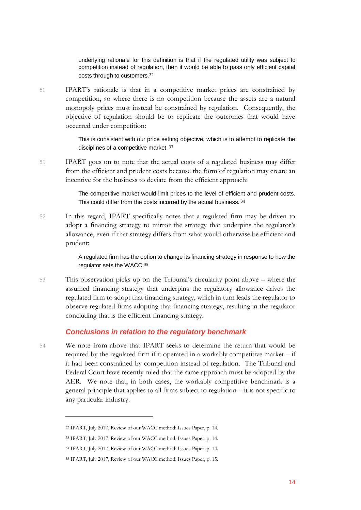underlying rationale for this definition is that if the regulated utility was subject to competition instead of regulation, then it would be able to pass only efficient capital costs through to customers.32

50 IPART's rationale is that in a competitive market prices are constrained by competition, so where there is no competition because the assets are a natural monopoly prices must instead be constrained by regulation. Consequently, the objective of regulation should be to replicate the outcomes that would have occurred under competition:

> This is consistent with our price setting objective, which is to attempt to replicate the disciplines of a competitive market. 33

51 IPART goes on to note that the actual costs of a regulated business may differ from the efficient and prudent costs because the form of regulation may create an incentive for the business to deviate from the efficient approach:

> The competitive market would limit prices to the level of efficient and prudent costs. This could differ from the costs incurred by the actual business. 34

52 In this regard, IPART specifically notes that a regulated firm may be driven to adopt a financing strategy to mirror the strategy that underpins the regulator's allowance, even if that strategy differs from what would otherwise be efficient and prudent:

> A regulated firm has the option to change its financing strategy in response to how the regulator sets the WACC.35

53 This observation picks up on the Tribunal's circularity point above – where the assumed financing strategy that underpins the regulatory allowance drives the regulated firm to adopt that financing strategy, which in turn leads the regulator to observe regulated firms adopting that financing strategy, resulting in the regulator concluding that is the efficient financing strategy.

#### *Conclusions in relation to the regulatory benchmark*

54 We note from above that IPART seeks to determine the return that would be required by the regulated firm if it operated in a workably competitive market  $-$  if it had been constrained by competition instead of regulation. The Tribunal and Federal Court have recently ruled that the same approach must be adopted by the AER. We note that, in both cases, the workably competitive benchmark is a general principle that applies to all firms subject to regulation – it is not specific to any particular industry.

<sup>32</sup> IPART, July 2017, Review of our WACC method: Issues Paper, p. 14.

<sup>33</sup> IPART, July 2017, Review of our WACC method: Issues Paper, p. 14.

<sup>34</sup> IPART, July 2017, Review of our WACC method: Issues Paper, p. 14.

<sup>35</sup> IPART, July 2017, Review of our WACC method: Issues Paper, p. 15.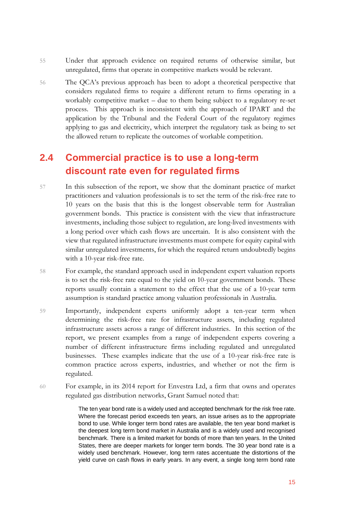- 55 Under that approach evidence on required returns of otherwise similar, but unregulated, firms that operate in competitive markets would be relevant.
- 56 The QCA's previous approach has been to adopt a theoretical perspective that considers regulated firms to require a different return to firms operating in a workably competitive market – due to them being subject to a regulatory re-set process. This approach is inconsistent with the approach of IPART and the application by the Tribunal and the Federal Court of the regulatory regimes applying to gas and electricity, which interpret the regulatory task as being to set the allowed return to replicate the outcomes of workable competition.

### <span id="page-15-0"></span>**2.4 Commercial practice is to use a long-term discount rate even for regulated firms**

- 57 In this subsection of the report, we show that the dominant practice of market practitioners and valuation professionals is to set the term of the risk-free rate to 10 years on the basis that this is the longest observable term for Australian government bonds. This practice is consistent with the view that infrastructure investments, including those subject to regulation, are long-lived investments with a long period over which cash flows are uncertain. It is also consistent with the view that regulated infrastructure investments must compete for equity capital with similar unregulated investments, for which the required return undoubtedly begins with a 10-year risk-free rate.
- 58 For example, the standard approach used in independent expert valuation reports is to set the risk-free rate equal to the yield on 10-year government bonds. These reports usually contain a statement to the effect that the use of a 10-year term assumption is standard practice among valuation professionals in Australia.
- 59 Importantly, independent experts uniformly adopt a ten-year term when determining the risk-free rate for infrastructure assets, including regulated infrastructure assets across a range of different industries. In this section of the report, we present examples from a range of independent experts covering a number of different infrastructure firms including regulated and unregulated businesses. These examples indicate that the use of a 10-year risk-free rate is common practice across experts, industries, and whether or not the firm is regulated.
- 60 For example, in its 2014 report for Envestra Ltd, a firm that owns and operates regulated gas distribution networks, Grant Samuel noted that:

The ten year bond rate is a widely used and accepted benchmark for the risk free rate. Where the forecast period exceeds ten years, an issue arises as to the appropriate bond to use. While longer term bond rates are available, the ten year bond market is the deepest long term bond market in Australia and is a widely used and recognised benchmark. There is a limited market for bonds of more than ten years. In the United States, there are deeper markets for longer term bonds. The 30 year bond rate is a widely used benchmark. However, long term rates accentuate the distortions of the yield curve on cash flows in early years. In any event, a single long term bond rate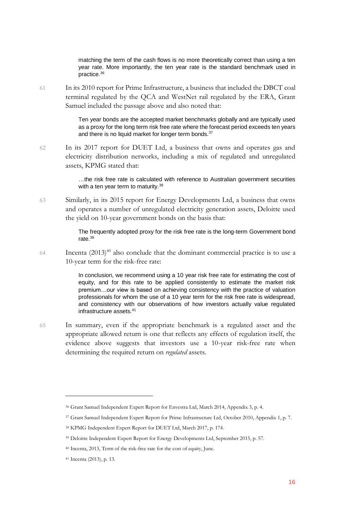matching the term of the cash flows is no more theoretically correct than using a ten year rate. More importantly, the ten year rate is the standard benchmark used in practice.<sup>36</sup>

61 In its 2010 report for Prime Infrastructure, a business that included the DBCT coal terminal regulated by the QCA and WestNet rail regulated by the ERA, Grant Samuel included the passage above and also noted that:

> Ten year bonds are the accepted market benchmarks globally and are typically used as a proxy for the long term risk free rate where the forecast period exceeds ten years and there is no liquid market for longer term bonds.<sup>37</sup>

62 In its 2017 report for DUET Ltd, a business that owns and operates gas and electricity distribution networks, including a mix of regulated and unregulated assets, KPMG stated that:

> …the risk free rate is calculated with reference to Australian government securities with a ten year term to maturity.<sup>38</sup>

63 Similarly, in its 2015 report for Energy Developments Ltd, a business that owns and operates a number of unregulated electricity generation assets, Deloitte used the yield on 10-year government bonds on the basis that:

> The frequently adopted proxy for the risk free rate is the long-term Government bond rate. $39$

64 Incenta  $(2013)^{40}$  also conclude that the dominant commercial practice is to use a 10-year term for the risk-free rate:

> In conclusion, we recommend using a 10 year risk free rate for estimating the cost of equity, and for this rate to be applied consistently to estimate the market risk premium…our view is based on achieving consistency with the practice of valuation professionals for whom the use of a 10 year term for the risk free rate is widespread, and consistency with our observations of how investors actually value regulated infrastructure assets.<sup>41</sup>

65 In summary, even if the appropriate benchmark is a regulated asset and the appropriate allowed return is one that reflects any effects of regulation itself, the evidence above suggests that investors use a 10-year risk-free rate when determining the required return on *regulated* assets.

<sup>36</sup> Grant Samuel Independent Expert Report for Envestra Ltd, March 2014, Appendix 3, p. 4.

<sup>37</sup> Grant Samuel Independent Expert Report for Prime Infrastructure Ltd, October 2010, Appendix 1, p. 7.

<sup>38</sup> KPMG Independent Expert Report for DUET Ltd, March 2017, p. 174.

<sup>39</sup> Deloitte Independent Expert Report for Energy Developments Ltd, September 2015, p. 57.

<sup>40</sup> Incenta, 2013, Term of the risk-free rate for the cost of equity, June.

<sup>41</sup> Incenta (2013), p. 13.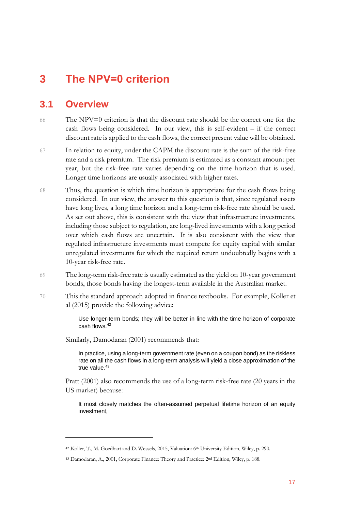## <span id="page-17-0"></span>**3 The NPV=0 criterion**

#### <span id="page-17-1"></span>**3.1 Overview**

 $\overline{a}$ 

- 66 The NPV=0 criterion is that the discount rate should be the correct one for the cash flows being considered. In our view, this is self-evident – if the correct discount rate is applied to the cash flows, the correct present value will be obtained.
- 67 In relation to equity, under the CAPM the discount rate is the sum of the risk-free rate and a risk premium. The risk premium is estimated as a constant amount per year, but the risk-free rate varies depending on the time horizon that is used. Longer time horizons are usually associated with higher rates.
- 68 Thus, the question is which time horizon is appropriate for the cash flows being considered. In our view, the answer to this question is that, since regulated assets have long lives, a long time horizon and a long-term risk-free rate should be used. As set out above, this is consistent with the view that infrastructure investments, including those subject to regulation, are long-lived investments with a long period over which cash flows are uncertain. It is also consistent with the view that regulated infrastructure investments must compete for equity capital with similar unregulated investments for which the required return undoubtedly begins with a 10-year risk-free rate.
- 69 The long-term risk-free rate is usually estimated as the yield on 10-year government bonds, those bonds having the longest-term available in the Australian market.
- 70 This the standard approach adopted in finance textbooks. For example, Koller et al (2015) provide the following advice:

Use longer-term bonds; they will be better in line with the time horizon of corporate cash flows.<sup>42</sup>

Similarly, Damodaran (2001) recommends that:

In practice, using a long-term government rate (even on a coupon bond) as the riskless rate on all the cash flows in a long-term analysis will yield a close approximation of the true value. $43$ 

Pratt (2001) also recommends the use of a long-term risk-free rate (20 years in the US market) because:

It most closely matches the often-assumed perpetual lifetime horizon of an equity investment,

<sup>&</sup>lt;sup>42</sup> Koller, T., M. Goedhart and D. Wessels, 2015, Valuation: 6<sup>th</sup> University Edition, Wiley, p. 290.

<sup>43</sup> Damodaran, A., 2001, Corporate Finance: Theory and Practice: 2nd Edition, Wiley, p. 188.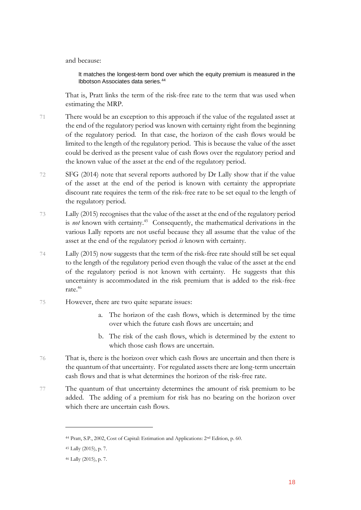and because:

It matches the longest-term bond over which the equity premium is measured in the Ibbotson Associates data series.<sup>44</sup>

That is, Pratt links the term of the risk-free rate to the term that was used when estimating the MRP.

- 71 There would be an exception to this approach if the value of the regulated asset at the end of the regulatory period was known with certainty right from the beginning of the regulatory period. In that case, the horizon of the cash flows would be limited to the length of the regulatory period. This is because the value of the asset could be derived as the present value of cash flows over the regulatory period and the known value of the asset at the end of the regulatory period.
- 72 SFG (2014) note that several reports authored by Dr Lally show that if the value of the asset at the end of the period is known with certainty the appropriate discount rate requires the term of the risk-free rate to be set equal to the length of the regulatory period.
- 73 Lally (2015) recognises that the value of the asset at the end of the regulatory period is *not* known with certainty.<sup>45</sup> Consequently, the mathematical derivations in the various Lally reports are not useful because they all assume that the value of the asset at the end of the regulatory period *is* known with certainty.
- 74 Lally (2015) now suggests that the term of the risk-free rate should still be set equal to the length of the regulatory period even though the value of the asset at the end of the regulatory period is not known with certainty. He suggests that this uncertainty is accommodated in the risk premium that is added to the risk-free rate.<sup>46</sup>
- 75 However, there are two quite separate issues:
	- a. The horizon of the cash flows, which is determined by the time over which the future cash flows are uncertain; and
	- b. The risk of the cash flows, which is determined by the extent to which those cash flows are uncertain.
- 76 That is, there is the horizon over which cash flows are uncertain and then there is the quantum of that uncertainty. For regulated assets there are long-term uncertain cash flows and that is what determines the horizon of the risk-free rate.
- 77 The quantum of that uncertainty determines the amount of risk premium to be added. The adding of a premium for risk has no bearing on the horizon over which there are uncertain cash flows.

<sup>44</sup> Pratt, S.P., 2002, Cost of Capital: Estimation and Applications: 2nd Edition, p. 60.

<sup>45</sup> Lally (2015), p. 7.

<sup>46</sup> Lally (2015), p. 7.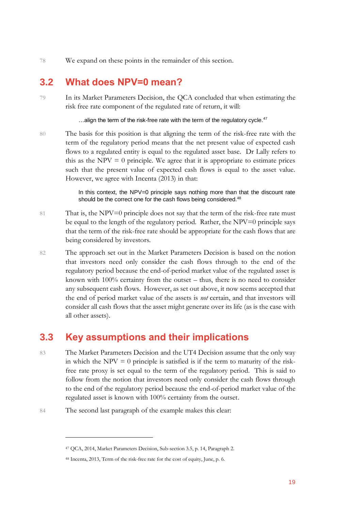78 We expand on these points in the remainder of this section.

#### <span id="page-19-0"></span>**3.2 What does NPV=0 mean?**

79 In its Market Parameters Decision, the QCA concluded that when estimating the risk free rate component of the regulated rate of return, it will:

 $\ldots$ align the term of the risk-free rate with the term of the regulatory cycle.<sup>47</sup>

80 The basis for this position is that aligning the term of the risk-free rate with the term of the regulatory period means that the net present value of expected cash flows to a regulated entity is equal to the regulated asset base. Dr Lally refers to this as the  $NPV = 0$  principle. We agree that it is appropriate to estimate prices such that the present value of expected cash flows is equal to the asset value. However, we agree with Incenta (2013) in that:

> In this context, the NPV=0 principle says nothing more than that the discount rate should be the correct one for the cash flows being considered.<sup>48</sup>

- 81 That is, the NPV=0 principle does not say that the term of the risk-free rate must be equal to the length of the regulatory period. Rather, the NPV=0 principle says that the term of the risk-free rate should be appropriate for the cash flows that are being considered by investors.
- 82 The approach set out in the Market Parameters Decision is based on the notion that investors need only consider the cash flows through to the end of the regulatory period because the end-of-period market value of the regulated asset is known with 100% certainty from the outset – thus, there is no need to consider any subsequent cash flows. However, as set out above, it now seems accepted that the end of period market value of the assets is *not* certain, and that investors will consider all cash flows that the asset might generate over its life (as is the case with all other assets).

### <span id="page-19-1"></span>**3.3 Key assumptions and their implications**

- 83 The Market Parameters Decision and the UT4 Decision assume that the only way in which the NPV  $= 0$  principle is satisfied is if the term to maturity of the riskfree rate proxy is set equal to the term of the regulatory period. This is said to follow from the notion that investors need only consider the cash flows through to the end of the regulatory period because the end-of-period market value of the regulated asset is known with 100% certainty from the outset.
- 84 The second last paragraph of the example makes this clear:

<sup>47</sup> QCA, 2014, Market Parameters Decision, Sub-section 3.5, p. 14, Paragraph 2.

<sup>48</sup> Incenta, 2013, Term of the risk-free rate for the cost of equity, June, p. 6.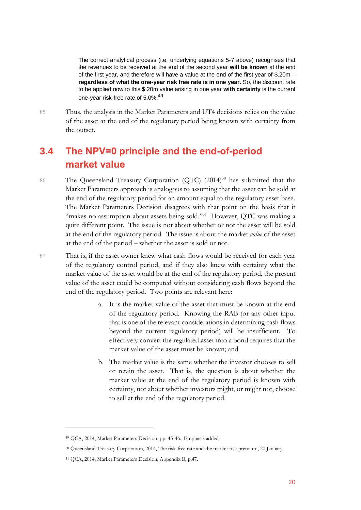The correct analytical process (i.e. underlying equations 5‐7 above) recognises that the revenues to be received at the end of the second year **will be known** at the end of the first year, and therefore will have a value at the end of the first year of \$.20m – **regardless of what the one**‐**year risk free rate is in one year.** So, the discount rate to be applied now to this \$.20m value arising in one year **with certainty** is the current one‐year risk‐free rate of 5.0%.<sup>49</sup>

85 Thus, the analysis in the Market Parameters and UT4 decisions relies on the value of the asset at the end of the regulatory period being known with certainty from the outset.

## <span id="page-20-0"></span>**3.4 The NPV=0 principle and the end-of-period market value**

- 86 The Queensland Treasury Corporation (QTC) (2014)<sup>50</sup> has submitted that the Market Parameters approach is analogous to assuming that the asset can be sold at the end of the regulatory period for an amount equal to the regulatory asset base. The Market Parameters Decision disagrees with that point on the basis that it "makes no assumption about assets being sold."<sup>51</sup> However, QTC was making a quite different point. The issue is not about whether or not the asset will be sold at the end of the regulatory period. The issue is about the market *value* of the asset at the end of the period – whether the asset is sold or not.
- 87 That is, if the asset owner knew what cash flows would be received for each year of the regulatory control period, and if they also knew with certainty what the market value of the asset would be at the end of the regulatory period, the present value of the asset could be computed without considering cash flows beyond the end of the regulatory period. Two points are relevant here:
	- a. It is the market value of the asset that must be known at the end of the regulatory period. Knowing the RAB (or any other input that is one of the relevant considerations in determining cash flows beyond the current regulatory period) will be insufficient. To effectively convert the regulated asset into a bond requires that the market value of the asset must be known; and
	- b. The market value is the same whether the investor chooses to sell or retain the asset. That is, the question is about whether the market value at the end of the regulatory period is known with certainty, not about whether investors might, or might not, choose to sell at the end of the regulatory period.

<sup>49</sup> QCA, 2014, Market Parameters Decision, pp. 45-46. Emphasis added.

<sup>50</sup> Queensland Treasury Corporation, 2014, The risk-free rate and the market risk premium, 20 January.

<sup>51</sup> QCA, 2014, Market Parameters Decision, Appendix B, p.47.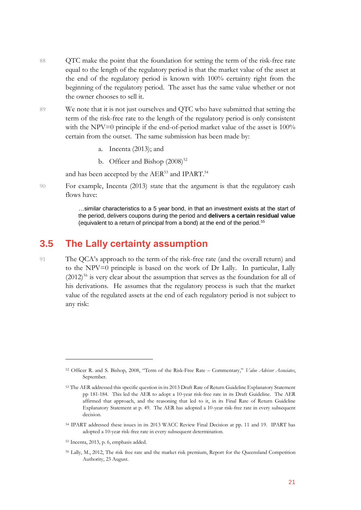- 88 QTC make the point that the foundation for setting the term of the risk-free rate equal to the length of the regulatory period is that the market value of the asset at the end of the regulatory period is known with 100% certainty right from the beginning of the regulatory period. The asset has the same value whether or not the owner chooses to sell it.
- 89 We note that it is not just ourselves and QTC who have submitted that setting the term of the risk-free rate to the length of the regulatory period is only consistent with the NPV=0 principle if the end-of-period market value of the asset is  $100\%$ certain from the outset. The same submission has been made by:
	- a. Incenta (2013); and
	- b. Officer and Bishop  $(2008)^{52}$

and has been accepted by the AER<sup>53</sup> and IPART.<sup>54</sup>

90 For example, Incenta (2013) state that the argument is that the regulatory cash flows have:

> …similar characteristics to a 5 year bond, in that an investment exists at the start of the period, delivers coupons during the period and **delivers a certain residual value** (equivalent to a return of principal from a bond) at the end of the period.<sup>55</sup>

### <span id="page-21-0"></span>**3.5 The Lally certainty assumption**

91 The QCA's approach to the term of the risk-free rate (and the overall return) and to the NPV=0 principle is based on the work of Dr Lally. In particular, Lally  $(2012)^{56}$  is very clear about the assumption that serves as the foundation for all of his derivations. He assumes that the regulatory process is such that the market value of the regulated assets at the end of each regulatory period is not subject to any risk:

<sup>52</sup> Officer R. and S. Bishop, 2008, "Term of the Risk-Free Rate – Commentary," *Value Advisor Associates*, September.

<sup>53</sup> The AER addressed this specific question in its 2013 Draft Rate of Return Guideline Explanatory Statement pp 181-184. This led the AER to adopt a 10-year risk-free rate in its Draft Guideline. The AER affirmed that approach, and the reasoning that led to it, in its Final Rate of Return Guideline Explanatory Statement at p. 49. The AER has adopted a 10-year risk-free rate in every subsequent decision.

<sup>&</sup>lt;sup>54</sup> IPART addressed these issues in its 2013 WACC Review Final Decision at pp. 11 and 19. IPART has adopted a 10-year risk-free rate in every subsequent determination.

<sup>55</sup> Incenta, 2013, p. 6, emphasis added.

<sup>56</sup> Lally, M., 2012, The risk free rate and the market risk premium, Report for the Queensland Competition Authority, 23 August.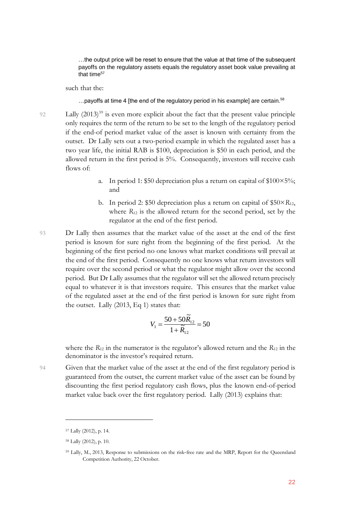…the output price will be reset to ensure that the value at that time of the subsequent payoffs on the regulatory assets equals the regulatory asset book value prevailing at that time<sup>57</sup>

such that the:

 $\ldots$  payoffs at time 4 [the end of the regulatory period in his example] are certain.<sup>58</sup>

92 Lally  $(2013)^{59}$  is even more explicit about the fact that the present value principle only requires the term of the return to be set to the length of the regulatory period if the end-of period market value of the asset is known with certainty from the outset. Dr Lally sets out a two-period example in which the regulated asset has a two year life, the initial RAB is \$100, depreciation is \$50 in each period, and the allowed return in the first period is 5%. Consequently, investors will receive cash flows of:

- a. In period 1: \$50 depreciation plus a return on capital of \$100×5%; and
- b. In period 2: \$50 depreciation plus a return on capital of \$50×*R*12, where  $R_{12}$  is the allowed return for the second period, set by the regulator at the end of the first period.
- 93 Dr Lally then assumes that the market value of the asset at the end of the first period is known for sure right from the beginning of the first period. At the beginning of the first period no one knows what market conditions will prevail at the end of the first period. Consequently no one knows what return investors will require over the second period or what the regulator might allow over the second period. But Dr Lally assumes that the regulator will set the allowed return precisely equal to whatever it is that investors require. This ensures that the market value of the regulated asset at the end of the first period is known for sure right from the outset. Lally (2013, Eq 1) states that:

$$
V_1 = \frac{50 + 50\widetilde{R}_{12}}{1 + \widetilde{R}_{12}} = 50
$$

where the  $R_{12}$  in the numerator is the regulator's allowed return and the  $R_{12}$  in the denominator is the investor's required return.

94 Given that the market value of the asset at the end of the first regulatory period is guaranteed from the outset, the current market value of the asset can be found by discounting the first period regulatory cash flows, plus the known end-of-period market value back over the first regulatory period. Lally (2013) explains that:

<sup>57</sup> Lally (2012), p. 14.

<sup>58</sup> Lally (2012), p. 10.

<sup>59</sup> Lally, M., 2013, Response to submissions on the risk‐free rate and the MRP, Report for the Queensland Competition Authority, 22 October.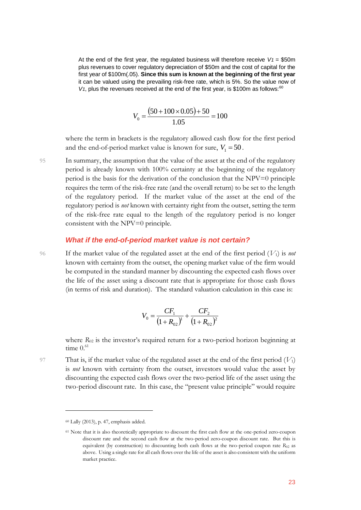At the end of the first year, the regulated business will therefore receive  $V_1 = $50$ m plus revenues to cover regulatory depreciation of \$50m and the cost of capital for the first year of \$100m(.05). **Since this sum is known at the beginning of the first year** it can be valued using the prevailing risk-free rate, which is 5%. So the value now of  $V_1$ , plus the revenues received at the end of the first year, is \$100m as follows:<sup>60</sup>

$$
V_0 = \frac{(50 + 100 \times 0.05) + 50}{1.05} = 100
$$

where the term in brackets is the regulatory allowed cash flow for the first period and the end-of-period market value is known for sure,  $V_1 = 50$ .

95 In summary, the assumption that the value of the asset at the end of the regulatory period is already known with 100% certainty at the beginning of the regulatory period is the basis for the derivation of the conclusion that the NPV=0 principle requires the term of the risk-free rate (and the overall return) to be set to the length of the regulatory period. If the market value of the asset at the end of the regulatory period is *not* known with certainty right from the outset, setting the term of the risk-free rate equal to the length of the regulatory period is no longer consistent with the NPV=0 principle.

#### *What if the end-of-period market value is not certain?*

96 If the market value of the regulated asset at the end of the first period (*V*1) is *not* known with certainty from the outset, the opening market value of the firm would be computed in the standard manner by discounting the expected cash flows over the life of the asset using a discount rate that is appropriate for those cash flows (in terms of risk and duration). The standard valuation calculation in this case is:

$$
V_0 = \frac{CF_1}{\left(1 + R_{02}\right)^1} + \frac{CF_2}{\left(1 + R_{02}\right)^2}
$$

where  $R_{02}$  is the investor's required return for a two-period horizon beginning at time  $0.61$ 

97 That is, if the market value of the regulated asset at the end of the first period  $(V_1)$ is *not* known with certainty from the outset, investors would value the asset by discounting the expected cash flows over the two-period life of the asset using the two-period discount rate. In this case, the "present value principle" would require

<sup>60</sup> Lally (2013), p. 47, emphasis added.

<sup>61</sup> Note that it is also theoretically appropriate to discount the first cash flow at the one-period zero-coupon discount rate and the second cash flow at the two-period zero-coupon discount rate. But this is equivalent (by construction) to discounting both cash flows at the two-period coupon rate *R*<sup>02</sup> as above. Using a single rate for all cash flows over the life of the asset is also consistent with the uniform market practice.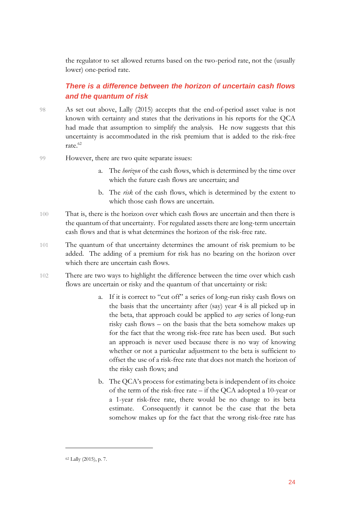the regulator to set allowed returns based on the two-period rate, not the (usually lower) one-period rate.

#### *There is a difference between the horizon of uncertain cash flows and the quantum of risk*

- 98 As set out above, Lally (2015) accepts that the end-of-period asset value is not known with certainty and states that the derivations in his reports for the QCA had made that assumption to simplify the analysis. He now suggests that this uncertainty is accommodated in the risk premium that is added to the risk-free rate.<sup>62</sup>
- 99 However, there are two quite separate issues:
	- a. The *horizon* of the cash flows, which is determined by the time over which the future cash flows are uncertain; and
	- b. The *risk* of the cash flows, which is determined by the extent to which those cash flows are uncertain.
- 100 That is, there is the horizon over which cash flows are uncertain and then there is the quantum of that uncertainty. For regulated assets there are long-term uncertain cash flows and that is what determines the horizon of the risk-free rate.
- 101 The quantum of that uncertainty determines the amount of risk premium to be added. The adding of a premium for risk has no bearing on the horizon over which there are uncertain cash flows.
- 102 There are two ways to highlight the difference between the time over which cash flows are uncertain or risky and the quantum of that uncertainty or risk:
	- a. If it is correct to "cut off" a series of long-run risky cash flows on the basis that the uncertainty after (say) year 4 is all picked up in the beta, that approach could be applied to *any* series of long-run risky cash flows – on the basis that the beta somehow makes up for the fact that the wrong risk-free rate has been used. But such an approach is never used because there is no way of knowing whether or not a particular adjustment to the beta is sufficient to offset the use of a risk-free rate that does not match the horizon of the risky cash flows; and
	- b. The QCA's process for estimating beta is independent of its choice of the term of the risk-free rate – if the QCA adopted a 10-year or a 1-year risk-free rate, there would be no change to its beta estimate. Consequently it cannot be the case that the beta somehow makes up for the fact that the wrong risk-free rate has

<sup>62</sup> Lally (2015), p. 7.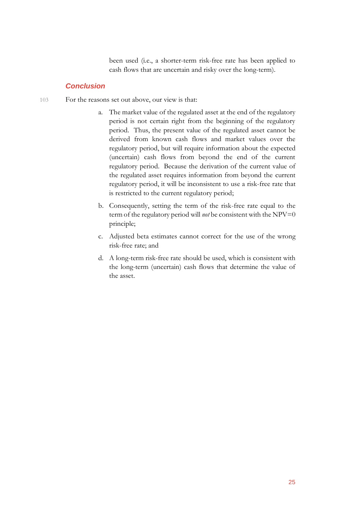been used (i.e., a shorter-term risk-free rate has been applied to cash flows that are uncertain and risky over the long-term).

#### *Conclusion*

- 103 For the reasons set out above, our view is that:
	- a. The market value of the regulated asset at the end of the regulatory period is not certain right from the beginning of the regulatory period. Thus, the present value of the regulated asset cannot be derived from known cash flows and market values over the regulatory period, but will require information about the expected (uncertain) cash flows from beyond the end of the current regulatory period. Because the derivation of the current value of the regulated asset requires information from beyond the current regulatory period, it will be inconsistent to use a risk-free rate that is restricted to the current regulatory period;
	- b. Consequently, setting the term of the risk-free rate equal to the term of the regulatory period will *not* be consistent with the NPV=0 principle;
	- c. Adjusted beta estimates cannot correct for the use of the wrong risk-free rate; and
	- d. A long-term risk-free rate should be used, which is consistent with the long-term (uncertain) cash flows that determine the value of the asset.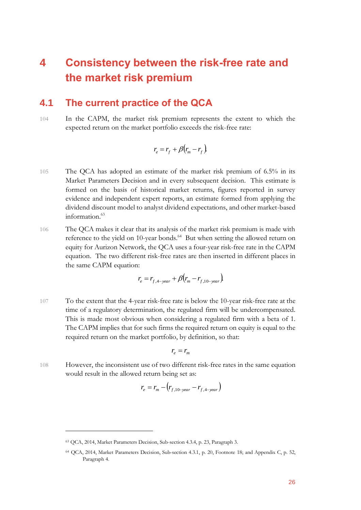## <span id="page-26-0"></span>**4 Consistency between the risk-free rate and the market risk premium**

#### <span id="page-26-1"></span>**4.1 The current practice of the QCA**

104 In the CAPM, the market risk premium represents the extent to which the expected return on the market portfolio exceeds the risk-free rate:

$$
r_e = r_f + \beta (r_m - r_f)
$$

- 105 The QCA has adopted an estimate of the market risk premium of 6.5% in its Market Parameters Decision and in every subsequent decision. This estimate is formed on the basis of historical market returns, figures reported in survey evidence and independent expert reports, an estimate formed from applying the dividend discount model to analyst dividend expectations, and other market-based information.<sup>63</sup>
- 106 The QCA makes it clear that its analysis of the market risk premium is made with reference to the yield on 10-year bonds.<sup>64</sup> But when setting the allowed return on equity for Aurizon Network, the QCA uses a four-year risk-free rate in the CAPM equation. The two different risk-free rates are then inserted in different places in the same CAPM equation:

$$
r_e = r_{f, 4-year} + \beta (r_m - r_{f, 10-year})
$$

107 To the extent that the 4-year risk-free rate is below the 10-year risk-free rate at the time of a regulatory determination, the regulated firm will be undercompensated. This is made most obvious when considering a regulated firm with a beta of 1. The CAPM implies that for such firms the required return on equity is equal to the required return on the market portfolio, by definition, so that:

$$
r_e = r_m
$$

108 However, the inconsistent use of two different risk-free rates in the same equation would result in the allowed return being set as:

$$
r_e = r_m - (r_{f,10-year} - r_{f,4-year})
$$

<sup>63</sup> QCA, 2014, Market Parameters Decision, Sub-section 4.3.4, p. 23, Paragraph 3.

<sup>64</sup> QCA, 2014, Market Parameters Decision, Sub-section 4.3.1, p. 20, Footnote 18; and Appendix C, p. 52, Paragraph 4.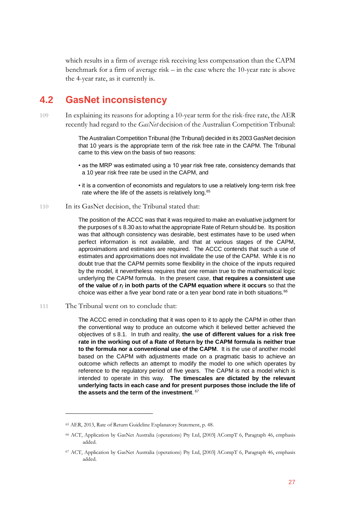which results in a firm of average risk receiving less compensation than the CAPM benchmark for a firm of average risk – in the case where the 10-year rate is above the 4-year rate, as it currently is.

#### <span id="page-27-0"></span>**4.2 GasNet inconsistency**

109 In explaining its reasons for adopting a 10-year term for the risk-free rate, the AER recently had regard to the *GasNet* decision of the Australian Competition Tribunal:

> The Australian Competition Tribunal (the Tribunal) decided in its 2003 GasNet decision that 10 years is the appropriate term of the risk free rate in the CAPM. The Tribunal came to this view on the basis of two reasons:

- as the MRP was estimated using a 10 year risk free rate, consistency demands that a 10 year risk free rate be used in the CAPM, and
- it is a convention of economists and regulators to use a relatively long-term risk free rate where the life of the assets is relatively long.<sup>65</sup>
- 110 In its GasNet decision, the Tribunal stated that:

The position of the ACCC was that it was required to make an evaluative judgment for the purposes of s 8.30 as to what the appropriate Rate of Return should be. Its position was that although consistency was desirable, best estimates have to be used when perfect information is not available, and that at various stages of the CAPM, approximations and estimates are required. The ACCC contends that such a use of estimates and approximations does not invalidate the use of the CAPM. While it is no doubt true that the CAPM permits some flexibility in the choice of the inputs required by the model, it nevertheless requires that one remain true to the mathematical logic underlying the CAPM formula. In the present case, **that requires a consistent use of the value of** *r<sup>f</sup>* **in both parts of the CAPM equation where it occurs** so that the choice was either a five year bond rate or a ten year bond rate in both situations.<sup>66</sup>

111 The Tribunal went on to conclude that:

 $\overline{a}$ 

The ACCC erred in concluding that it was open to it to apply the CAPM in other than the conventional way to produce an outcome which it believed better achieved the objectives of s 8.1. In truth and reality, **the use of different values for a risk free rate in the working out of a Rate of Return by the CAPM formula is neither true to the formula nor a conventional use of the CAPM**. It is the use of another model based on the CAPM with adjustments made on a pragmatic basis to achieve an outcome which reflects an attempt to modify the model to one which operates by reference to the regulatory period of five years. The CAPM is not a model which is intended to operate in this way. **The timescales are dictated by the relevant underlying facts in each case and for present purposes those include the life of the assets and the term of the investment**. 67

27

<sup>65</sup> AER, 2013, Rate of Return Guideline Explanatory Statement, p. 48.

<sup>66</sup> ACT, Application by GasNet Australia (operations) Pty Ltd, [2003] ACompT 6, Paragraph 46, emphasis added.

<sup>67</sup> ACT, Application by GasNet Australia (operations) Pty Ltd, [2003] ACompT 6, Paragraph 46, emphasis added.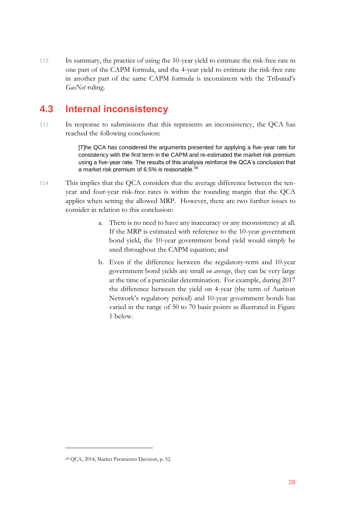112 In summary, the practice of using the 10-year yield to estimate the risk-free rate in one part of the CAPM formula, and the 4-year yield to estimate the risk-free rate in another part of the same CAPM formula is inconsistent with the Tribunal's *GasNet* ruling.

### <span id="page-28-0"></span>**4.3 Internal inconsistency**

113 In response to submissions that this represents an inconsistency, the QCA has reached the following conclusion:

> [T]he QCA has considered the arguments presented for applying a five‐year rate for consistency with the first term in the CAPM and re‐estimated the market risk premium using a five‐year rate. The results of this analysis reinforce the QCA's conclusion that a market risk premium of 6.5% is reasonable.<sup>68</sup>

- 114 This implies that the QCA considers that the average difference between the tenyear and four-year risk-free rates is within the rounding margin that the QCA applies when setting the allowed MRP. However, there are two further issues to consider in relation to this conclusion:
	- a. There is no need to have any inaccuracy or any inconsistency at all. If the MRP is estimated with reference to the 10-year government bond yield, the 10-year government bond yield would simply be used throughout the CAPM equation; and
	- b. Even if the difference between the regulatory-term and 10-year government bond yields are small *on average*, they can be very large at the time of a particular determination. For example, during 2017 the difference between the yield on 4-year (the term of Aurizon Network's regulatory period) and 10-year government bonds has varied in the range of 50 to 70 basis points as illustrated in Figure 1 below.

<sup>68</sup> QCA, 2014, Market Parameters Decision, p. 52.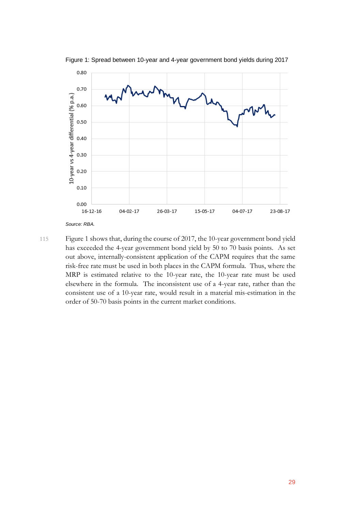

Figure 1: Spread between 10-year and 4-year government bond yields during 2017

115 Figure 1 shows that, during the course of 2017, the 10-year government bond yield has exceeded the 4-year government bond yield by 50 to 70 basis points. As set out above, internally-consistent application of the CAPM requires that the same risk-free rate must be used in both places in the CAPM formula. Thus, where the MRP is estimated relative to the 10-year rate, the 10-year rate must be used elsewhere in the formula. The inconsistent use of a 4-year rate, rather than the consistent use of a 10-year rate, would result in a material mis-estimation in the order of 50-70 basis points in the current market conditions.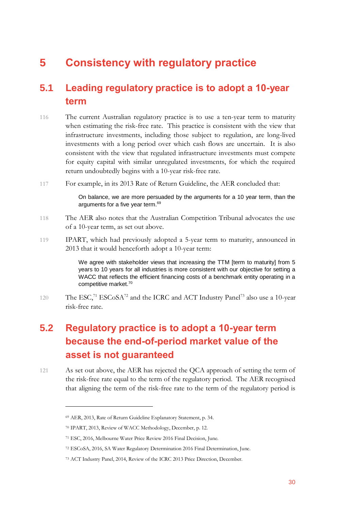## <span id="page-30-0"></span>**5 Consistency with regulatory practice**

### <span id="page-30-1"></span>**5.1 Leading regulatory practice is to adopt a 10-year term**

- 116 The current Australian regulatory practice is to use a ten-year term to maturity when estimating the risk-free rate. This practice is consistent with the view that infrastructure investments, including those subject to regulation, are long-lived investments with a long period over which cash flows are uncertain. It is also consistent with the view that regulated infrastructure investments must compete for equity capital with similar unregulated investments, for which the required return undoubtedly begins with a 10-year risk-free rate.
- 117 For example, in its 2013 Rate of Return Guideline, the AER concluded that:

On balance, we are more persuaded by the arguments for a 10 year term, than the arguments for a five year term.<sup>69</sup>

- 118 The AER also notes that the Australian Competition Tribunal advocates the use of a 10-year term, as set out above.
- 119 IPART, which had previously adopted a 5-year term to maturity, announced in 2013 that it would henceforth adopt a 10-year term:

We agree with stakeholder views that increasing the TTM [term to maturity] from 5 years to 10 years for all industries is more consistent with our objective for setting a WACC that reflects the efficient financing costs of a benchmark entity operating in a competitive market.<sup>70</sup>

120 The ESC,<sup>71</sup> ESCoSA<sup>72</sup> and the ICRC and ACT Industry Panel<sup>73</sup> also use a 10-year risk-free rate.

### <span id="page-30-2"></span>**5.2 Regulatory practice is to adopt a 10-year term because the end-of-period market value of the asset is not guaranteed**

121 As set out above, the AER has rejected the QCA approach of setting the term of the risk-free rate equal to the term of the regulatory period. The AER recognised that aligning the term of the risk-free rate to the term of the regulatory period is

l

<sup>69</sup> AER, 2013, Rate of Return Guideline Explanatory Statement, p. 34.

<sup>70</sup> IPART, 2013, Review of WACC Methodology, December, p. 12.

<sup>71</sup> ESC, 2016, Melbourne Water Price Review 2016 Final Decision, June.

<sup>72</sup> ESCoSA, 2016, SA Water Regulatory Determination 2016 Final Determination, June.

<sup>73</sup> ACT Industry Panel, 2014, Review of the ICRC 2013 Price Direction, December.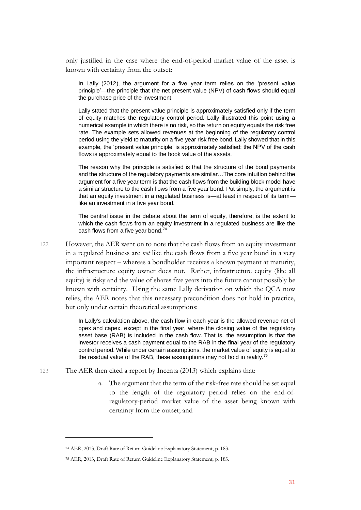only justified in the case where the end-of-period market value of the asset is known with certainty from the outset:

In Lally (2012), the argument for a five year term relies on the 'present value principle'—the principle that the net present value (NPV) of cash flows should equal the purchase price of the investment.

Lally stated that the present value principle is approximately satisfied only if the term of equity matches the regulatory control period. Lally illustrated this point using a numerical example in which there is no risk, so the return on equity equals the risk free rate. The example sets allowed revenues at the beginning of the regulatory control period using the yield to maturity on a five year risk free bond. Lally showed that in this example, the 'present value principle' is approximately satisfied: the NPV of the cash flows is approximately equal to the book value of the assets.

The reason why the principle is satisfied is that the structure of the bond payments and the structure of the regulatory payments are similar…The core intuition behind the argument for a five year term is that the cash flows from the building block model have a similar structure to the cash flows from a five year bond. Put simply, the argument is that an equity investment in a regulated business is—at least in respect of its term like an investment in a five year bond.

The central issue in the debate about the term of equity, therefore, is the extent to which the cash flows from an equity investment in a regulated business are like the cash flows from a five year bond.<sup>74</sup>

122 However, the AER went on to note that the cash flows from an equity investment in a regulated business are *not* like the cash flows from a five year bond in a very important respect – whereas a bondholder receives a known payment at maturity, the infrastructure equity owner does not. Rather, infrastructure equity (like all equity) is risky and the value of shares five years into the future cannot possibly be known with certainty. Using the same Lally derivation on which the QCA now relies, the AER notes that this necessary precondition does not hold in practice, but only under certain theoretical assumptions:

> In Lally's calculation above, the cash flow in each year is the allowed revenue net of opex and capex, except in the final year, where the closing value of the regulatory asset base (RAB) is included in the cash flow. That is, the assumption is that the investor receives a cash payment equal to the RAB in the final year of the regulatory control period. While under certain assumptions, the market value of equity is equal to the residual value of the RAB, these assumptions may not hold in reality.<sup>75</sup>

- 123 The AER then cited a report by Incenta (2013) which explains that:
	- a. The argument that the term of the risk-free rate should be set equal to the length of the regulatory period relies on the end-ofregulatory-period market value of the asset being known with certainty from the outset; and

<sup>74</sup> AER, 2013, Draft Rate of Return Guideline Explanatory Statement, p. 183.

<sup>75</sup> AER, 2013, Draft Rate of Return Guideline Explanatory Statement, p. 183.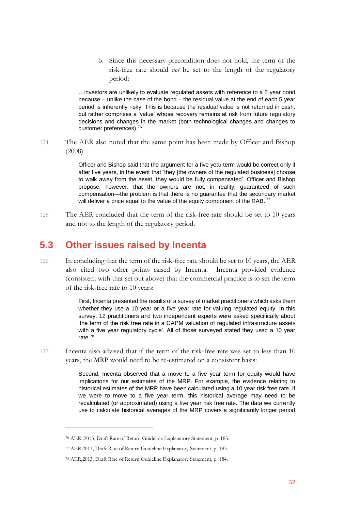b. Since this necessary precondition does not hold, the term of the risk-free rate should *not* be set to the length of the regulatory period:

…investors are unlikely to evaluate regulated assets with reference to a 5 year bond because – unlike the case of the bond – the residual value at the end of each 5 year period is inherently risky. This is because the residual value is not returned in cash, but rather comprises a 'value' whose recovery remains at risk from future regulatory decisions and changes in the market (both technological changes and changes to customer preferences).<sup>76</sup>

124 The AER also noted that the same point has been made by Officer and Bishop (2008):

> Officer and Bishop said that the argument for a five year term would be correct only if after five years, in the event that 'they [the owners of the regulated business] choose to walk away from the asset, they would be fully compensated'. Officer and Bishop propose, however, that the owners are not, in reality, guaranteed of such compensation—the problem is that there is no guarantee that the secondary market will deliver a price equal to the value of the equity component of the RAB.<sup>77</sup>

125 The AER concluded that the term of the risk-free rate should be set to 10 years and not to the length of the regulatory period.

### <span id="page-32-0"></span>**5.3 Other issues raised by Incenta**

126 In concluding that the term of the risk-free rate should be set to 10 years, the AER also cited two other points raised by Incenta. Incenta provided evidence (consistent with that set out above) that the commercial practice is to set the term of the risk-free rate to 10 years:

> First, Incenta presented the results of a survey of market practitioners which asks them whether they use a 10 year or a five year rate for valuing regulated equity. In this survey, 12 practitioners and two independent experts were asked specifically about 'the term of the risk free rate in a CAPM valuation of regulated infrastructure assets with a five year regulatory cycle'. All of those surveyed stated they used a 10 year rate.<sup>78</sup>

127 Incenta also advised that if the term of the risk-free rate was set to less than 10 years, the MRP would need to be re-estimated on a consistent basis:

> Second, Incenta observed that a move to a five year term for equity would have implications for our estimates of the MRP. For example, the evidence relating to historical estimates of the MRP have been calculated using a 10 year risk free rate. If we were to move to a five year term, this historical average may need to be recalculated (or approximated) using a five year risk free rate. The data we currently use to calculate historical averages of the MRP covers a significantly longer period

 $\overline{a}$ 

32

<sup>76</sup> AER, 2013, Draft Rate of Return Guideline Explanatory Statement, p. 183.

<sup>77</sup> AER,2013, Draft Rate of Return Guideline Explanatory Statement, p. 183.

<sup>78</sup> AER,2013, Draft Rate of Return Guideline Explanatory Statement, p. 184.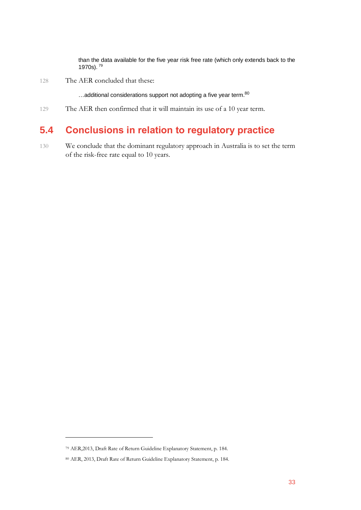than the data available for the five year risk free rate (which only extends back to the 1970s). <sup>79</sup>

128 The AER concluded that these:

...additional considerations support not adopting a five year term.<sup>80</sup>

129 The AER then confirmed that it will maintain its use of a 10 year term.

### <span id="page-33-0"></span>**5.4 Conclusions in relation to regulatory practice**

130 We conclude that the dominant regulatory approach in Australia is to set the term of the risk-free rate equal to 10 years.

<sup>79</sup> AER,2013, Draft Rate of Return Guideline Explanatory Statement, p. 184.

<sup>80</sup> AER, 2013, Draft Rate of Return Guideline Explanatory Statement, p. 184.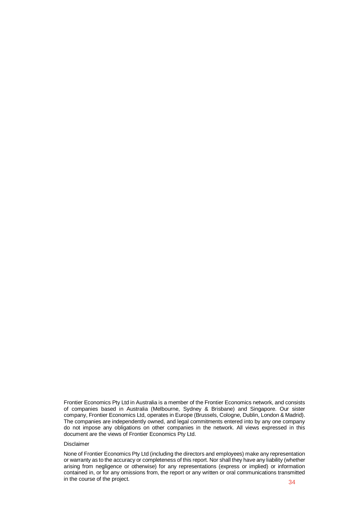#### Disclaimer

Frontier Economics Pty Ltd in Australia is a member of the Frontier Economics network, and consists of companies based in Australia (Melbourne, Sydney & Brisbane) and Singapore. Our sister company, Frontier Economics Ltd, operates in Europe (Brussels, Cologne, Dublin, London & Madrid). The companies are independently owned, and legal commitments entered into by any one company do not impose any obligations on other companies in the network. All views expressed in this document are the views of Frontier Economics Pty Ltd.

None of Frontier Economics Pty Ltd (including the directors and employees) make any representation or warranty as to the accuracy or completeness of this report. Nor shall they have any liability (whether arising from negligence or otherwise) for any representations (express or implied) or information contained in, or for any omissions from, the report or any written or oral communications transmitted in the course of the project.